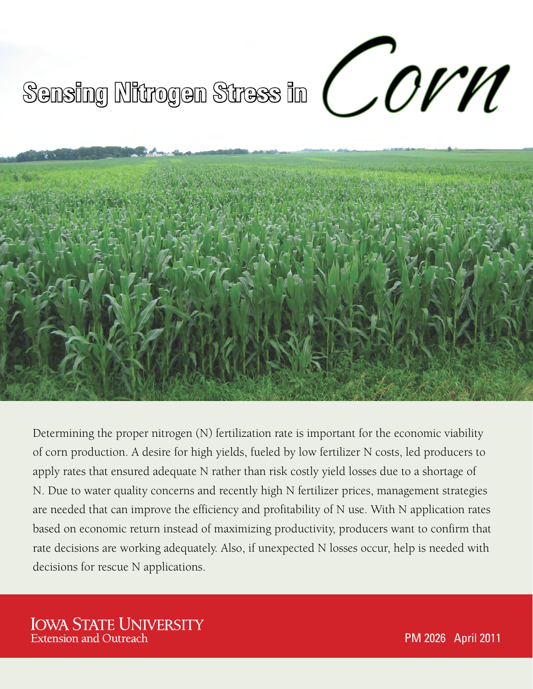# **Sensing Nitrogen Stress in**



Determining the proper nitrogen (N) fertilization rate is important for the economic viability of corn production. A desire for high yields, fueled by low fertilizer N costs, led producers to apply rates that ensured adequate N rather than risk costly yield losses due to a shortage of N. Due to water quality concerns and recently high N fertilizer prices, management strategies are needed that can improve the efficiency and profitability of N use. With N application rates based on economic return instead of maximizing productivity, producers want to confirm that rate decisions are working adequately. Also, if unexpected N losses occur, help is needed with decisions for rescue N applications.

# **IOWA STATE UNIVERSITY Extension and Outreach**

PM 2026 April 2011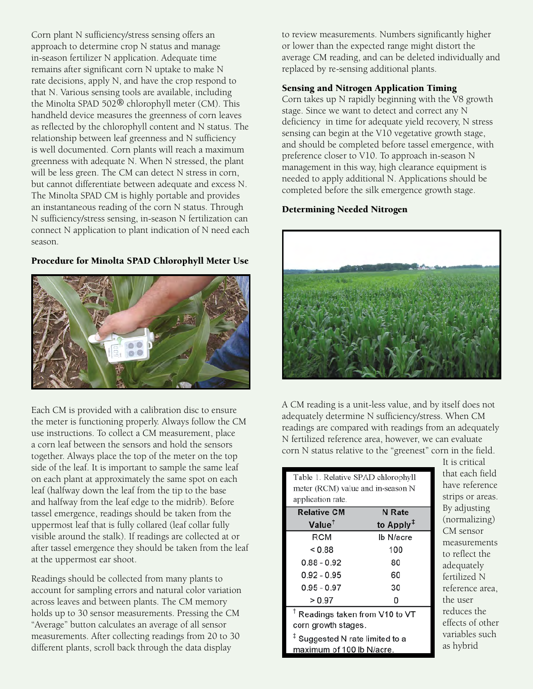Corn plant N sufficiency/stress sensing offers an approach to determine crop N status and manage in-season fertilizer N application. Adequate time remains after significant corn N uptake to make N rate decisions, apply N, and have the crop respond to that N. Various sensing tools are available, including the Minolta SPAD 502® chlorophyll meter (CM). This handheld device measures the greenness of corn leaves as reflected by the chlorophyll content and N status. The relationship between leaf greenness and N sufficiency is well documented. Corn plants will reach a maximum greenness with adequate N. When N stressed, the plant will be less green. The CM can detect N stress in corn, but cannot differentiate between adequate and excess N. The Minolta SPAD CM is highly portable and provides an instantaneous reading of the corn N status. Through N sufficiency/stress sensing, in-season N fertilization can connect N application to plant indication of N need each season.

# Procedure for Minolta SPAD Chlorophyll Meter Use



Each CM is provided with a calibration disc to ensure the meter is functioning properly. Always follow the CM use instructions. To collect a CM measurement, place a corn leaf between the sensors and hold the sensors together. Always place the top of the meter on the top side of the leaf. It is important to sample the same leaf on each plant at approximately the same spot on each leaf (halfway down the leaf from the tip to the base and halfway from the leaf edge to the midrib). Before tassel emergence, readings should be taken from the uppermost leaf that is fully collared (leaf collar fully visible around the stalk). If readings are collected at or after tassel emergence they should be taken from the leaf at the uppermost ear shoot.

Readings should be collected from many plants to account for sampling errors and natural color variation across leaves and between plants. The CM memory holds up to 30 sensor measurements. Pressing the CM "Average" button calculates an average of all sensor measurements. After collecting readings from 20 to 30 different plants, scroll back through the data display

to review measurements. Numbers significantly higher or lower than the expected range might distort the average CM reading, and can be deleted individually and replaced by re-sensing additional plants.

# Sensing and Nitrogen Application Timing

Corn takes up N rapidly beginning with the V8 growth stage. Since we want to detect and correct any N deficiency in time for adequate yield recovery, N stress sensing can begin at the V10 vegetative growth stage, and should be completed before tassel emergence, with preference closer to V10. To approach in-season N management in this way, high clearance equipment is needed to apply additional N. Applications should be completed before the silk emergence growth stage.

### Determining Needed Nitrogen



A CM reading is a unit-less value, and by itself does not adequately determine N sufficiency/stress. When CM readings are compared with readings from an adequately N fertilized reference area, however, we can evaluate corn N status relative to the "greenest" corn in the field.

| Table 1. Relative SPAD chlorophyll<br>meter (RCM) value and in-season N<br>application rate. |                                    |  |  |  |  |  |  |
|----------------------------------------------------------------------------------------------|------------------------------------|--|--|--|--|--|--|
| <b>Relative CM</b>                                                                           | N Rate                             |  |  |  |  |  |  |
| Value <sup>†</sup>                                                                           | to Apply <sup><math>1</math></sup> |  |  |  |  |  |  |
| RCM                                                                                          | Ib N/acre                          |  |  |  |  |  |  |
| < 0.88                                                                                       | 100                                |  |  |  |  |  |  |
| $0.88 - 0.92$                                                                                | 80                                 |  |  |  |  |  |  |
| $0.92 - 0.95$                                                                                | 60                                 |  |  |  |  |  |  |
| $0.95 - 0.97$                                                                                | 30                                 |  |  |  |  |  |  |
| > 0.97                                                                                       | n                                  |  |  |  |  |  |  |

 $^\dagger$  Readings taken from V10 to VT corn growth stages.

 $^{\ddagger}$  Suggested N rate limited to a maximum of 100 lb N/acre.

It is critical that each field have reference strips or areas. By adjusting (normalizing) CM sensor measurements to reflect the adequately fertilized N reference area, the user reduces the effects of other variables such as hybrid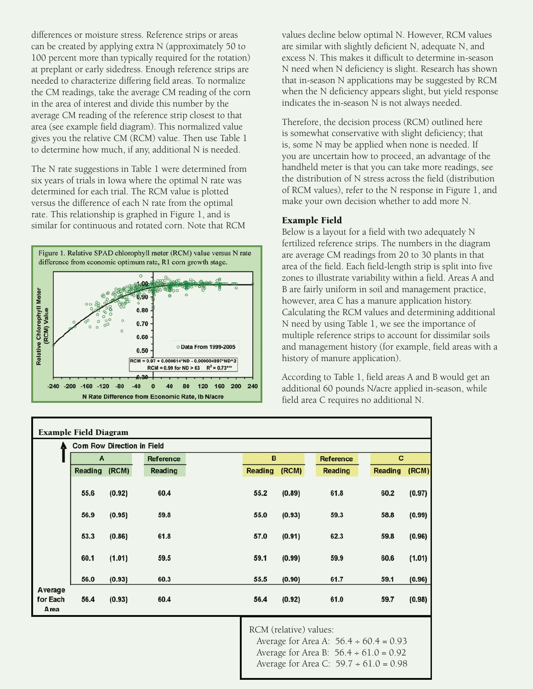differences or moisture stress. Reference strips or areas can be created by applying extra N (approximately 50 to 100 percent more than typically required for the rotation) at preplant or early sidedress. Enough reference strips are needed to characterize differing field areas. To normalize the CM readings, take the average CM reading of the corn in the area of interest and divide this number by the average CM reading of the reference strip closest to that area (see example field diagram). This normalized value gives you the relative CM (RCM) value. Then use Table 1 to determine how much, if any, additional N is needed.

The N rate suggestions in Table 1 were determined from six years of trials in Iowa where the optimal N rate was determined for each trial. The RCM value is plotted versus the difference of each N rate from the optimal rate. This relationship is graphed in Figure 1, and is similar for continuous and rotated corn. Note that RCM



values decline below optimal N. However, RCM values are similar with slightly deficient N, adequate N, and excess N. This makes it difficult to determine in-season N need when N deficiency is slight. Research has shown that in-season N applications may be suggested by RCM when the N deficiency appears slight, but yield response indicates the in-season N is not always needed.

Therefore, the decision process (RCM) outlined here is somewhat conservative with slight deficiency; that is, some N may be applied when none is needed. If you are uncertain how to proceed, an advantage of the handheld meter is that you can take more readings, see the distribution of N stress across the field (distribution of RCM values), refer to the N response in Figure 1, and make your own decision whether to add more N.

### Example Field

Below is a layout for a field with two adequately N fertilized reference strips. The numbers in the diagram are average CM readings from 20 to 30 plants in that area of the field. Each field-length strip is split into five zones to illustrate variability within a field. Areas A and B are fairly uniform in soil and management practice, however, area C has a manure application history. Calculating the RCM values and determining additional N need by using Table 1, we see the importance of multiple reference strips to account for dissimilar soils and management history (for example, field areas with a history of manure application).

According to Table 1, field areas A and B would get an additional 60 pounds N/acre applied in-season, while field area C requires no additional N.

| <b>Example Field Diagram</b> |                                   |        |                  |  |         |        |                  |  |         |        |  |  |
|------------------------------|-----------------------------------|--------|------------------|--|---------|--------|------------------|--|---------|--------|--|--|
| A                            | <b>Com Row Direction in Field</b> |        |                  |  |         |        |                  |  |         |        |  |  |
|                              | $\mathbf{A}$                      |        | <b>Reference</b> |  |         | в      | <b>Reference</b> |  | с       |        |  |  |
|                              | Reading (RCM)                     |        | Reading          |  | Reading | (RCM)  | <b>Reading</b>   |  | Reading | (RCM)  |  |  |
|                              | 55.6                              | (0.92) | 60.4             |  | 55.2    | (0.89) | 61.8             |  | 60.2    | (0.97) |  |  |
|                              | 56.9                              | (0.95) | 59.8             |  | 55.0    | (0.93) | 59.3             |  | 58.8    | (0.99) |  |  |
|                              | 53.3                              | (0.86) | 61.8             |  | 57.0    | (0.91) | 62.3             |  | 59.8    | (0.96) |  |  |
|                              | 60.1                              | (1.01) | 59.5             |  | 59.1    | (0.99) | 59.9             |  | 60.6    | (1.01) |  |  |
|                              | 56.0                              | (0.93) | 60.3             |  | 55.5    | (0.90) | 61.7             |  | 59.1    | (0.96) |  |  |
| Average<br>for Each<br>Area  | 56.4                              | (0.93) | 60.4             |  | 56.4    | (0.92) | 61.0             |  | 59.7    | (0.98) |  |  |
|                              |                                   |        |                  |  |         |        |                  |  |         |        |  |  |

RCM (relative) values:

Average for Area A:  $56.4 \div 60.4 = 0.93$ Average for Area B:  $56.4 \div 61.0 = 0.92$ Average for Area C: 59.7 ÷ 61.0 = 0.98